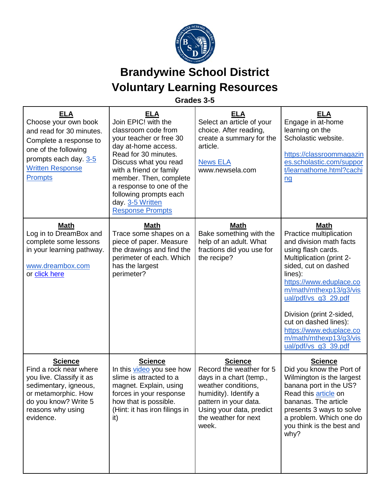

## **Brandywine School District Voluntary Learning Resources**

## **Grades 3-5**

| ELA<br>Choose your own book<br>and read for 30 minutes.<br>Complete a response to<br>one of the following<br>prompts each day. 3-5<br><b>Written Response</b><br><b>Prompts</b> | <u>ELA</u><br>Join EPIC! with the<br>classroom code from<br>your teacher or free 30<br>day at-home access.<br>Read for 30 minutes.<br>Discuss what you read<br>with a friend or family<br>member. Then, complete<br>a response to one of the<br>following prompts each<br>day 3-5 Written<br><b>Response Prompts</b> | <b>ELA</b><br>Select an article of your<br>choice. After reading,<br>create a summary for the<br>article.<br><b>News ELA</b><br>www.newsela.com                                                             | <b>ELA</b><br>Engage in at-home<br>learning on the<br>Scholastic website.<br>https://classroommagazin<br>es.scholastic.com/suppor<br>t/learnathome.html?cachi<br>$\underline{nq}$                                                                                                                                                                                     |
|---------------------------------------------------------------------------------------------------------------------------------------------------------------------------------|----------------------------------------------------------------------------------------------------------------------------------------------------------------------------------------------------------------------------------------------------------------------------------------------------------------------|-------------------------------------------------------------------------------------------------------------------------------------------------------------------------------------------------------------|-----------------------------------------------------------------------------------------------------------------------------------------------------------------------------------------------------------------------------------------------------------------------------------------------------------------------------------------------------------------------|
| <b>Math</b><br>Log in to DreamBox and<br>complete some lessons<br>in your learning pathway.<br>www.dreambox.com<br>or click here                                                | Math<br>Trace some shapes on a<br>piece of paper. Measure<br>the drawings and find the<br>perimeter of each. Which<br>has the largest<br>perimeter?                                                                                                                                                                  | <b>Math</b><br>Bake something with the<br>help of an adult. What<br>fractions did you use for<br>the recipe?                                                                                                | <b>Math</b><br>Practice multiplication<br>and division math facts<br>using flash cards.<br>Multiplication (print 2-<br>sided, cut on dashed<br>lines):<br>https://www.eduplace.co<br>m/math/mthexp13/g3/vis<br>ual/pdf/vs_g3_29.pdf<br>Division (print 2-sided,<br>cut on dashed lines):<br>https://www.eduplace.co<br>m/math/mthexp13/g3/vis<br>ual/pdf/vs_g3_39.pdf |
| <b>Science</b><br>Find a rock near where<br>you live. Classify it as<br>sedimentary, igneous,<br>or metamorphic. How<br>do you know? Write 5<br>reasons why using<br>evidence.  | <b>Science</b><br>In this video you see how<br>slime is attracted to a<br>magnet. Explain, using<br>forces in your response<br>how that is possible.<br>(Hint: it has iron filings in<br>it)                                                                                                                         | <b>Science</b><br>Record the weather for 5<br>days in a chart (temp.,<br>weather conditions,<br>humidity). Identify a<br>pattern in your data.<br>Using your data, predict<br>the weather for next<br>week. | <b>Science</b><br>Did you know the Port of<br>Wilmington is the largest<br>banana port in the US?<br>Read this <b>article</b> on<br>bananas. The article<br>presents 3 ways to solve<br>a problem. Which one do<br>you think is the best and<br>why?                                                                                                                  |